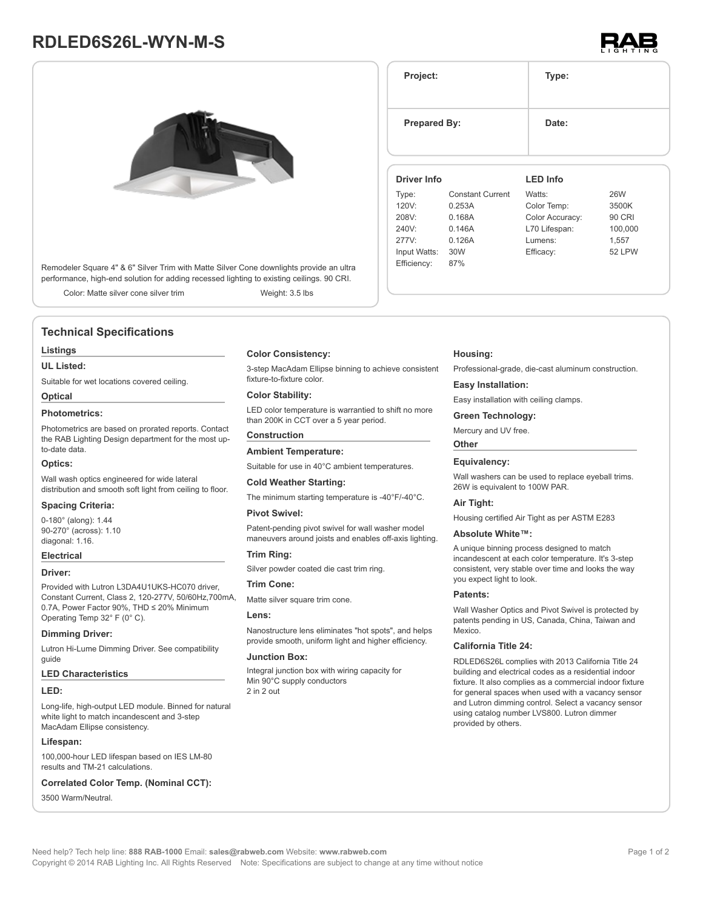# **RDLED6S26L-WYN-M-S**



| Remodeler Square 4" & 6" Silver Trim with Matte Silver Cone downlights provide an ultra   |  |
|-------------------------------------------------------------------------------------------|--|
| performance, high-end solution for adding recessed lighting to existing ceilings. 90 CRI. |  |

Color: Matte silver cone silver trim Weight: 3.5 lbs

## **Technical Specifications**

#### **Listings**

#### **UL Listed:**

Suitable for wet locations covered ceiling.

## **Optical**

## **Photometrics:**

Photometrics are based on prorated reports. Contact the RAB Lighting Design department for the most upto-date data.

#### **Optics:**

Wall wash optics engineered for wide lateral distribution and smooth soft light from ceiling to floor.

#### **Spacing Criteria:**

0-180° (along): 1.44 90-270° (across): 1.10 diagonal: 1.16.

## **Electrical**

#### **Driver:**

Provided with Lutron L3DA4U1UKS-HC070 driver, Constant Current, Class 2, 120-277V, 50/60Hz,700mA, 0.7A, Power Factor 90%, THD ≤ 20% Minimum Operating Temp 32° F (0° C).

#### **Dimming Driver:**

Lutron Hi-Lume Dimming Driver. See compatibility guide

#### **LED Characteristics**

#### **LED:**

Long-life, high-output LED module. Binned for natural white light to match incandescent and 3-step MacAdam Ellipse consistency.

#### **Lifespan:**

100,000-hour LED lifespan based on IES LM-80 results and TM-21 calculations.

## **Correlated Color Temp. (Nominal CCT):**

3500 Warm/Neutral.

#### **Color Consistency:**

3-step MacAdam Ellipse binning to achieve consistent fixture-to-fixture color.

#### **Color Stability:**

LED color temperature is warrantied to shift no more than 200K in CCT over a 5 year period.

## **Construction**

Suitable for use in 40°C ambient temperatures.

#### **Cold Weather Starting:**

**Ambient Temperature:**

The minimum starting temperature is -40°F/-40°C.

#### **Pivot Swivel:**

Patent-pending pivot swivel for wall washer model maneuvers around joists and enables off-axis lighting.

## **Trim Ring:**

Silver powder coated die cast trim ring.

#### **Trim Cone:**

Matte silver square trim cone.

#### **Lens:**

Nanostructure lens eliminates "hot spots", and helps provide smooth, uniform light and higher efficiency.

#### **Junction Box:**

Integral junction box with wiring capacity for Min 90°C supply conductors 2 in 2 out

## **Project: Type: Prepared By:** Date: **Driver Info** Type: Constant Current 120V: 0.253A 208V: 0.168A 240V: 0.146A 277V: 0.126A Input Watts: 30W Efficiency: 87% **LED Info** Watts: 26W Color Temp: 3500K Color Accuracy: 90 CRI L70 Lifespan: 100,000 Lumens: 1,557 Efficacy: 52 LPW

## **Housing:**

Professional-grade, die-cast aluminum construction.

#### **Easy Installation:**

Easy installation with ceiling clamps.

#### **Green Technology:**

Mercury and UV free.

#### **Other**

### **Equivalency:**

Wall washers can be used to replace eveball trims. 26W is equivalent to 100W PAR.

#### **Air Tight:**

Housing certified Air Tight as per ASTM E283

#### **Absolute White™:**

A unique binning process designed to match incandescent at each color temperature. It's 3-step consistent, very stable over time and looks the way you expect light to look.

#### **Patents:**

Wall Washer Optics and Pivot Swivel is protected by patents pending in US, Canada, China, Taiwan and Mexico.

## **California Title 24:**

RDLED6S26L complies with 2013 California Title 24 building and electrical codes as a residential indoor fixture. It also complies as a commercial indoor fixture for general spaces when used with a vacancy sensor and Lutron dimming control. Select a vacancy sensor using catalog number LVS800. Lutron dimmer provided by others.